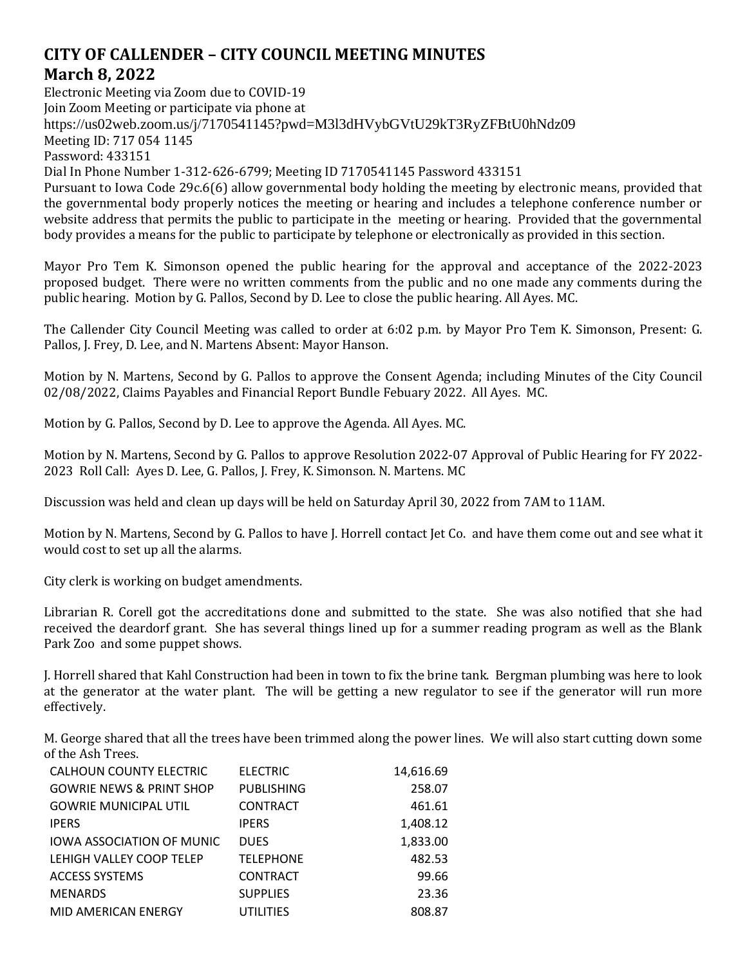## **CITY OF CALLENDER – CITY COUNCIL MEETING MINUTES March 8, 2022**

Electronic Meeting via Zoom due to COVID-19 Join Zoom Meeting or participate via phone at <https://us02web.zoom.us/j/7170541145?pwd=M3l3dHVybGVtU29kT3RyZFBtU0hNdz09> Meeting ID: 717 054 1145 Password: 433151 Dial In Phone Number 1-312-626-6799; Meeting ID 7170541145 Password 433151 Pursuant to Iowa Code 29c.6(6) allow governmental body holding the meeting by electronic means, provided that the governmental body properly notices the meeting or hearing and includes a telephone conference number or website address that permits the public to participate in the meeting or hearing. Provided that the governmental

Mayor Pro Tem K. Simonson opened the public hearing for the approval and acceptance of the 2022-2023 proposed budget. There were no written comments from the public and no one made any comments during the public hearing. Motion by G. Pallos, Second by D. Lee to close the public hearing. All Ayes. MC.

body provides a means for the public to participate by telephone or electronically as provided in this section.

The Callender City Council Meeting was called to order at 6:02 p.m. by Mayor Pro Tem K. Simonson, Present: G. Pallos, J. Frey, D. Lee, and N. Martens Absent: Mayor Hanson.

Motion by N. Martens, Second by G. Pallos to approve the Consent Agenda; including Minutes of the City Council 02/08/2022, Claims Payables and Financial Report Bundle Febuary 2022. All Ayes. MC.

Motion by G. Pallos, Second by D. Lee to approve the Agenda. All Ayes. MC.

Motion by N. Martens, Second by G. Pallos to approve Resolution 2022-07 Approval of Public Hearing for FY 2022- 2023 Roll Call: Ayes D. Lee, G. Pallos, J. Frey, K. Simonson. N. Martens. MC

Discussion was held and clean up days will be held on Saturday April 30, 2022 from 7AM to 11AM.

Motion by N. Martens, Second by G. Pallos to have J. Horrell contact Jet Co. and have them come out and see what it would cost to set up all the alarms.

City clerk is working on budget amendments.

Librarian R. Corell got the accreditations done and submitted to the state. She was also notified that she had received the deardorf grant. She has several things lined up for a summer reading program as well as the Blank Park Zoo and some puppet shows.

J. Horrell shared that Kahl Construction had been in town to fix the brine tank. Bergman plumbing was here to look at the generator at the water plant. The will be getting a new regulator to see if the generator will run more effectively.

M. George shared that all the trees have been trimmed along the power lines. We will also start cutting down some of the Ash Trees.

| CALHOUN COUNTY ELECTRIC             | <b>ELECTRIC</b>   | 14,616.69 |
|-------------------------------------|-------------------|-----------|
| <b>GOWRIE NEWS &amp; PRINT SHOP</b> | <b>PUBLISHING</b> | 258.07    |
| <b>GOWRIE MUNICIPAL UTIL</b>        | <b>CONTRACT</b>   | 461.61    |
| <b>IPERS</b>                        | <b>IPERS</b>      | 1,408.12  |
| <b>IOWA ASSOCIATION OF MUNIC</b>    | <b>DUES</b>       | 1,833.00  |
| LEHIGH VALLEY COOP TELEP            | <b>TELEPHONE</b>  | 482.53    |
| <b>ACCESS SYSTEMS</b>               | <b>CONTRACT</b>   | 99.66     |
| <b>MENARDS</b>                      | <b>SUPPLIES</b>   | 23.36     |
| MID AMERICAN ENERGY                 | UTILITIES         | 808.87    |